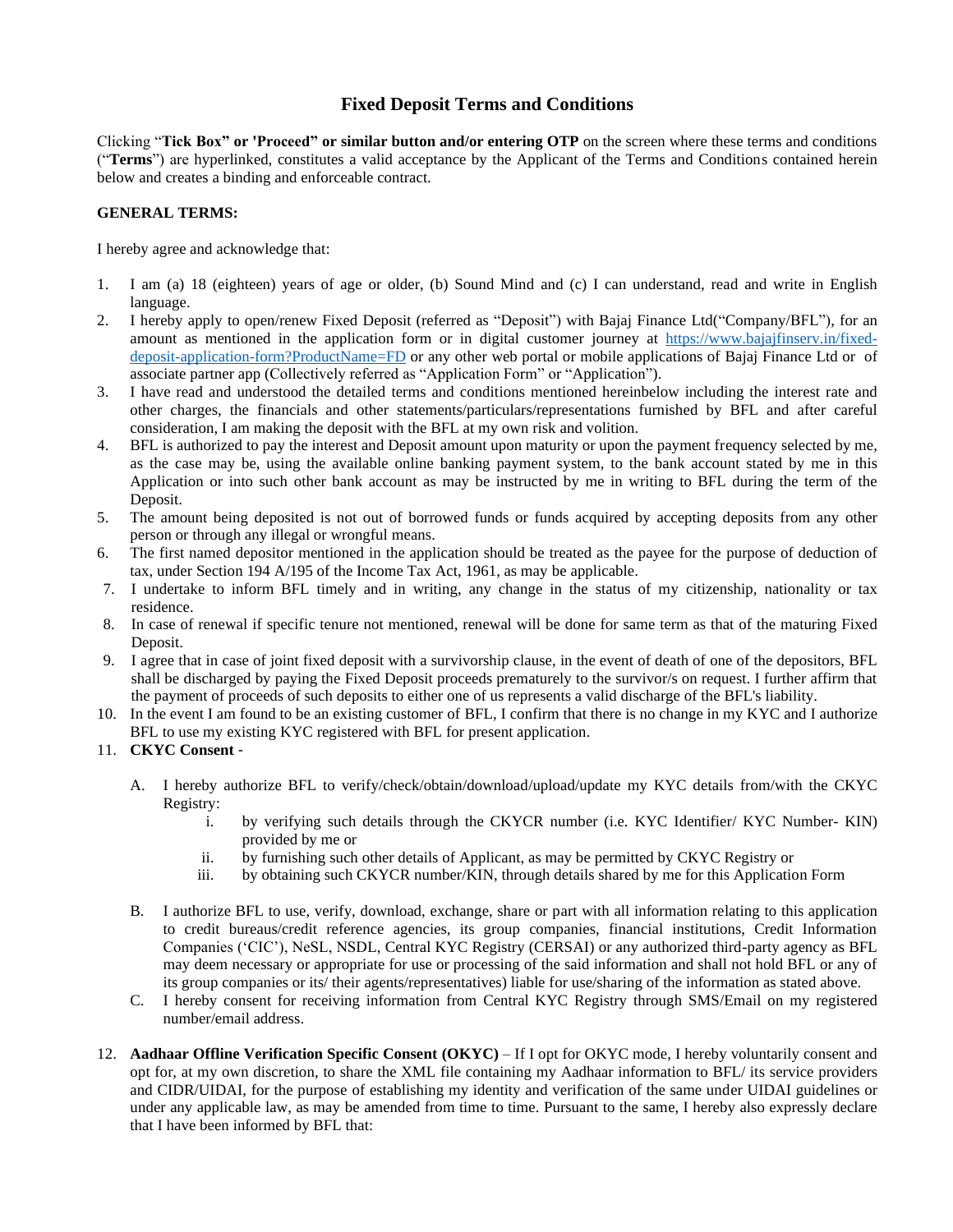## **Fixed Deposit Terms and Conditions**

Clicking "**Tick Box" or 'Proceed" or similar button and/or entering OTP** on the screen where these terms and conditions ("**Terms**") are hyperlinked, constitutes a valid acceptance by the Applicant of the Terms and Conditions contained herein below and creates a binding and enforceable contract.

## **GENERAL TERMS:**

I hereby agree and acknowledge that:

- 1. I am (a) 18 (eighteen) years of age or older, (b) Sound Mind and (c) I can understand, read and write in English language.
- 2. I hereby apply to open/renew Fixed Deposit (referred as "Deposit") with Bajaj Finance Ltd("Company/BFL"), for an amount as mentioned in the application form or in digital customer journey at [https://www.bajajfinserv.in/fixed](https://www.bajajfinserv.in/fixed-deposit-application-form?ProductName=FD)[deposit-application-form?ProductName=FD](https://www.bajajfinserv.in/fixed-deposit-application-form?ProductName=FD) or any other web portal or mobile applications of Bajaj Finance Ltd or of associate partner app (Collectively referred as "Application Form" or "Application").
- 3. I have read and understood the detailed terms and conditions mentioned hereinbelow including the interest rate and other charges, the financials and other statements/particulars/representations furnished by BFL and after careful consideration, I am making the deposit with the BFL at my own risk and volition.
- 4. BFL is authorized to pay the interest and Deposit amount upon maturity or upon the payment frequency selected by me, as the case may be, using the available online banking payment system, to the bank account stated by me in this Application or into such other bank account as may be instructed by me in writing to BFL during the term of the Deposit.
- 5. The amount being deposited is not out of borrowed funds or funds acquired by accepting deposits from any other person or through any illegal or wrongful means.
- 6. The first named depositor mentioned in the application should be treated as the payee for the purpose of deduction of tax, under Section 194 A/195 of the Income Tax Act, 1961, as may be applicable.
- 7. I undertake to inform BFL timely and in writing, any change in the status of my citizenship, nationality or tax residence.
- 8. In case of renewal if specific tenure not mentioned, renewal will be done for same term as that of the maturing Fixed Deposit.
- 9. I agree that in case of joint fixed deposit with a survivorship clause, in the event of death of one of the depositors, BFL shall be discharged by paying the Fixed Deposit proceeds prematurely to the survivor/s on request. I further affirm that the payment of proceeds of such deposits to either one of us represents a valid discharge of the BFL's liability.
- 10. In the event I am found to be an existing customer of BFL, I confirm that there is no change in my KYC and I authorize BFL to use my existing KYC registered with BFL for present application.
- 11. **CKYC Consent**
	- A. I hereby authorize BFL to verify/check/obtain/download/upload/update my KYC details from/with the CKYC Registry:
		- i. by verifying such details through the CKYCR number (i.e. KYC Identifier/ KYC Number- KIN) provided by me or
		- ii. by furnishing such other details of Applicant, as may be permitted by CKYC Registry or
		- iii. by obtaining such CKYCR number/KIN, through details shared by me for this Application Form
	- B. I authorize BFL to use, verify, download, exchange, share or part with all information relating to this application to credit bureaus/credit reference agencies, its group companies, financial institutions, Credit Information Companies ('CIC'), NeSL, NSDL, Central KYC Registry (CERSAI) or any authorized third-party agency as BFL may deem necessary or appropriate for use or processing of the said information and shall not hold BFL or any of its group companies or its/ their agents/representatives) liable for use/sharing of the information as stated above.
	- C. I hereby consent for receiving information from Central KYC Registry through SMS/Email on my registered number/email address.
- 12. **Aadhaar Offline Verification Specific Consent (OKYC)** If I opt for OKYC mode, I hereby voluntarily consent and opt for, at my own discretion, to share the XML file containing my Aadhaar information to BFL/ its service providers and CIDR/UIDAI, for the purpose of establishing my identity and verification of the same under UIDAI guidelines or under any applicable law, as may be amended from time to time. Pursuant to the same, I hereby also expressly declare that I have been informed by BFL that: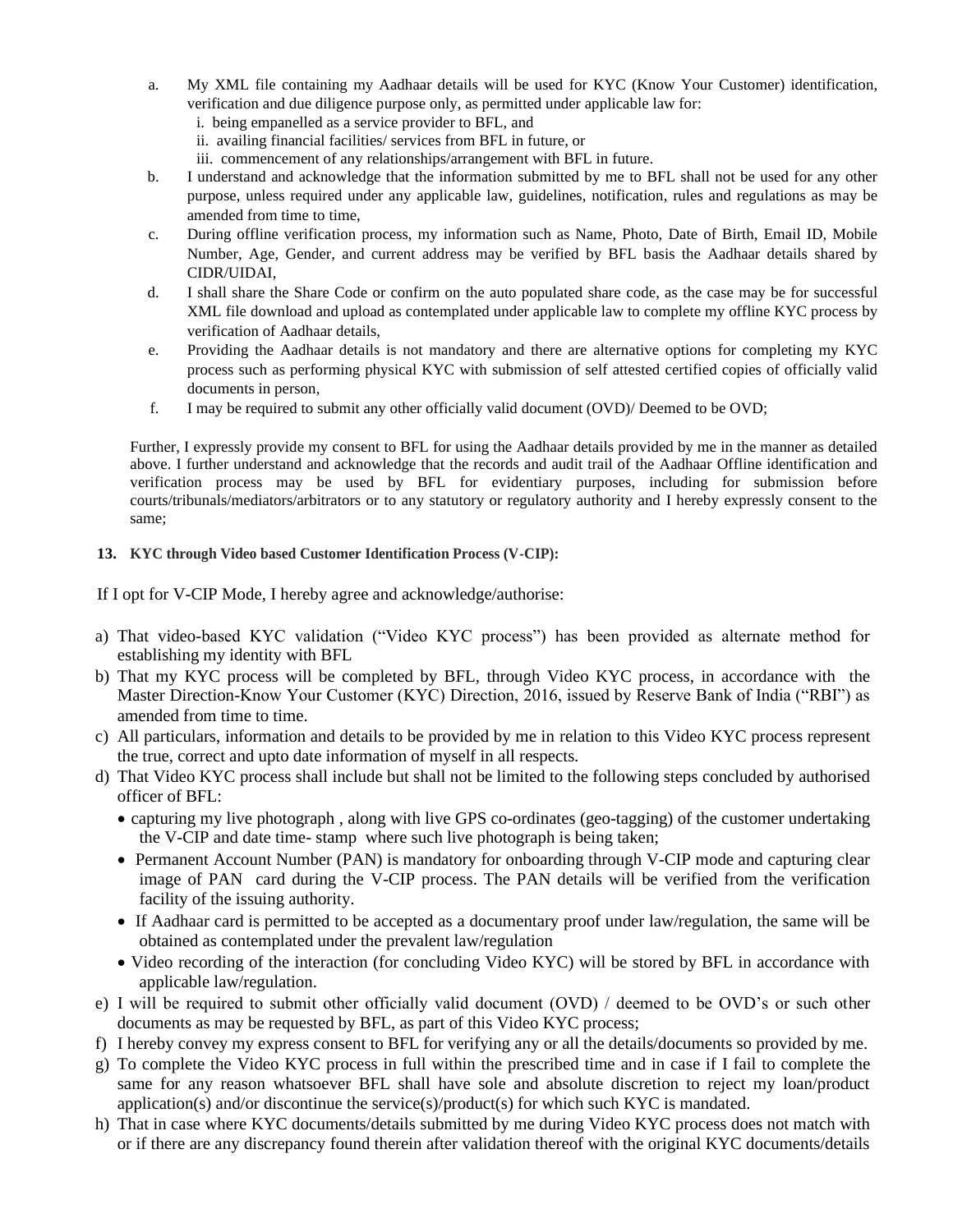- a. My XML file containing my Aadhaar details will be used for KYC (Know Your Customer) identification, verification and due diligence purpose only, as permitted under applicable law for:
	- i. being empanelled as a service provider to BFL, and
	- ii. availing financial facilities/ services from BFL in future, or
	- iii. commencement of any relationships/arrangement with BFL in future.
- b. I understand and acknowledge that the information submitted by me to BFL shall not be used for any other purpose, unless required under any applicable law, guidelines, notification, rules and regulations as may be amended from time to time,
- c. During offline verification process, my information such as Name, Photo, Date of Birth, Email ID, Mobile Number, Age, Gender, and current address may be verified by BFL basis the Aadhaar details shared by CIDR/UIDAI,
- d. I shall share the Share Code or confirm on the auto populated share code, as the case may be for successful XML file download and upload as contemplated under applicable law to complete my offline KYC process by verification of Aadhaar details,
- e. Providing the Aadhaar details is not mandatory and there are alternative options for completing my KYC process such as performing physical KYC with submission of self attested certified copies of officially valid documents in person,
- f. I may be required to submit any other officially valid document (OVD)/ Deemed to be OVD;

Further, I expressly provide my consent to BFL for using the Aadhaar details provided by me in the manner as detailed above. I further understand and acknowledge that the records and audit trail of the Aadhaar Offline identification and verification process may be used by BFL for evidentiary purposes, including for submission before courts/tribunals/mediators/arbitrators or to any statutory or regulatory authority and I hereby expressly consent to the same;

## **13. KYC through Video based Customer Identification Process (V-CIP):**

If I opt for V-CIP Mode, I hereby agree and acknowledge/authorise:

- a) That video-based KYC validation ("Video KYC process") has been provided as alternate method for establishing my identity with BFL
- b) That my KYC process will be completed by BFL, through Video KYC process, in accordance with the Master Direction-Know Your Customer (KYC) Direction, 2016, issued by Reserve Bank of India ("RBI") as amended from time to time.
- c) All particulars, information and details to be provided by me in relation to this Video KYC process represent the true, correct and upto date information of myself in all respects.
- d) That Video KYC process shall include but shall not be limited to the following steps concluded by authorised officer of BFL:
	- capturing my live photograph , along with live GPS co-ordinates (geo-tagging) of the customer undertaking the V-CIP and date time- stamp where such live photograph is being taken;
	- Permanent Account Number (PAN) is mandatory for onboarding through V-CIP mode and capturing clear image of PAN card during the V-CIP process. The PAN details will be verified from the verification facility of the issuing authority.
	- If Aadhaar card is permitted to be accepted as a documentary proof under law/regulation, the same will be obtained as contemplated under the prevalent law/regulation
	- Video recording of the interaction (for concluding Video KYC) will be stored by BFL in accordance with applicable law/regulation.
- e) I will be required to submit other officially valid document (OVD) / deemed to be OVD's or such other documents as may be requested by BFL, as part of this Video KYC process;
- f) I hereby convey my express consent to BFL for verifying any or all the details/documents so provided by me.
- g) To complete the Video KYC process in full within the prescribed time and in case if I fail to complete the same for any reason whatsoever BFL shall have sole and absolute discretion to reject my loan/product application(s) and/or discontinue the service(s)/product(s) for which such KYC is mandated.
- h) That in case where KYC documents/details submitted by me during Video KYC process does not match with or if there are any discrepancy found therein after validation thereof with the original KYC documents/details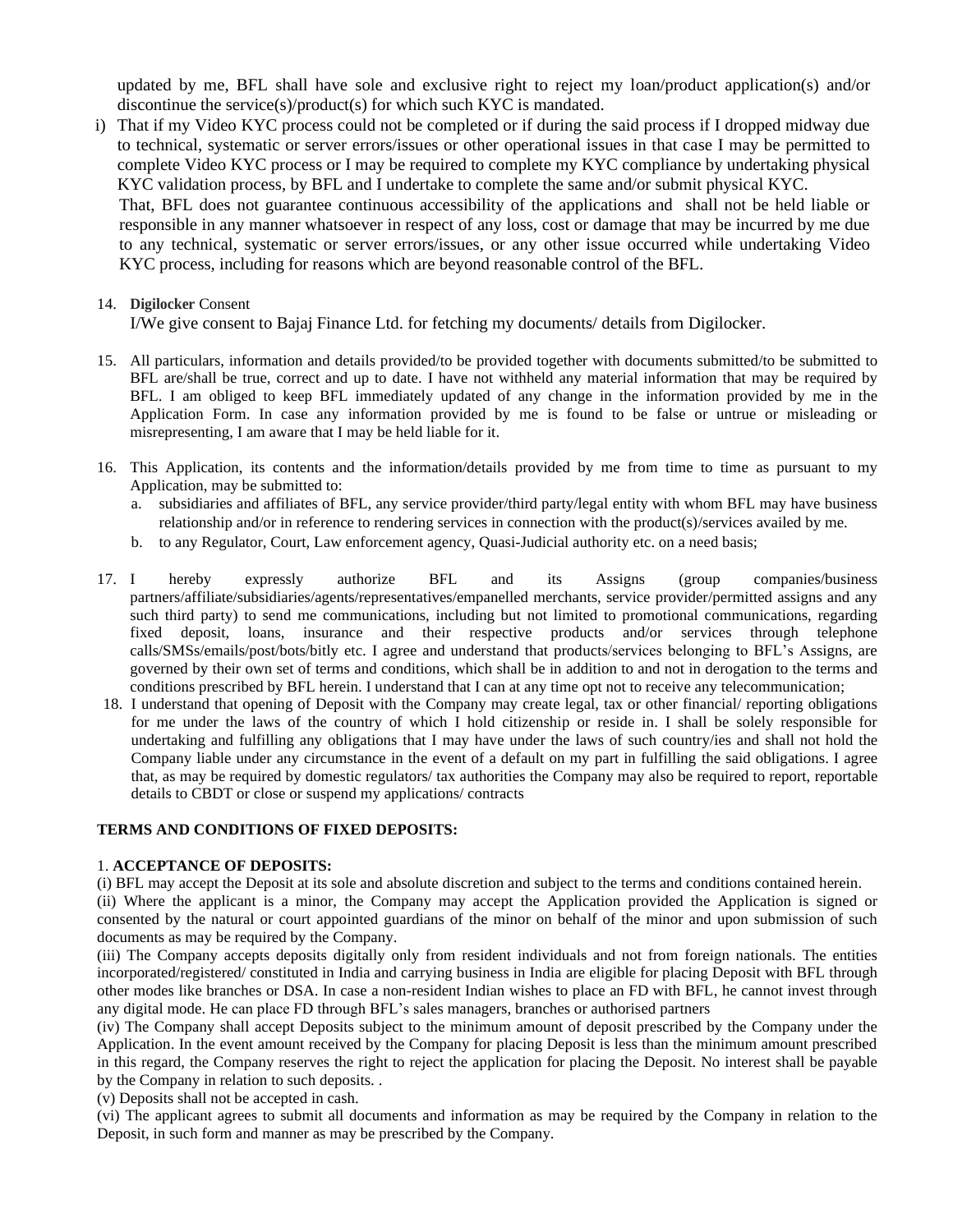updated by me, BFL shall have sole and exclusive right to reject my loan/product application(s) and/or discontinue the service(s)/product(s) for which such KYC is mandated.

i) That if my Video KYC process could not be completed or if during the said process if I dropped midway due to technical, systematic or server errors/issues or other operational issues in that case I may be permitted to complete Video KYC process or I may be required to complete my KYC compliance by undertaking physical KYC validation process, by BFL and I undertake to complete the same and/or submit physical KYC.

That, BFL does not guarantee continuous accessibility of the applications and shall not be held liable or responsible in any manner whatsoever in respect of any loss, cost or damage that may be incurred by me due to any technical, systematic or server errors/issues, or any other issue occurred while undertaking Video KYC process, including for reasons which are beyond reasonable control of the BFL.

## 14. **Digilocker** Consent

I/We give consent to Bajaj Finance Ltd. for fetching my documents/ details from Digilocker.

- 15. All particulars, information and details provided/to be provided together with documents submitted/to be submitted to BFL are/shall be true, correct and up to date. I have not withheld any material information that may be required by BFL. I am obliged to keep BFL immediately updated of any change in the information provided by me in the Application Form. In case any information provided by me is found to be false or untrue or misleading or misrepresenting, I am aware that I may be held liable for it.
- 16. This Application, its contents and the information/details provided by me from time to time as pursuant to my Application, may be submitted to:
	- a. subsidiaries and affiliates of BFL, any service provider/third party/legal entity with whom BFL may have business relationship and/or in reference to rendering services in connection with the product(s)/services availed by me.
	- b. to any Regulator, Court, Law enforcement agency, Quasi-Judicial authority etc. on a need basis;
- 17. I hereby expressly authorize BFL and its Assigns (group companies/business partners/affiliate/subsidiaries/agents/representatives/empanelled merchants, service provider/permitted assigns and any such third party) to send me communications, including but not limited to promotional communications, regarding fixed deposit, loans, insurance and their respective products and/or services through telephone calls/SMSs/emails/post/bots/bitly etc. I agree and understand that products/services belonging to BFL's Assigns, are governed by their own set of terms and conditions, which shall be in addition to and not in derogation to the terms and conditions prescribed by BFL herein. I understand that I can at any time opt not to receive any telecommunication;
- 18. I understand that opening of Deposit with the Company may create legal, tax or other financial/ reporting obligations for me under the laws of the country of which I hold citizenship or reside in. I shall be solely responsible for undertaking and fulfilling any obligations that I may have under the laws of such country/ies and shall not hold the Company liable under any circumstance in the event of a default on my part in fulfilling the said obligations. I agree that, as may be required by domestic regulators/ tax authorities the Company may also be required to report, reportable details to CBDT or close or suspend my applications/ contracts

#### **TERMS AND CONDITIONS OF FIXED DEPOSITS:**

#### 1. **ACCEPTANCE OF DEPOSITS:**

(i) BFL may accept the Deposit at its sole and absolute discretion and subject to the terms and conditions contained herein.

(ii) Where the applicant is a minor, the Company may accept the Application provided the Application is signed or consented by the natural or court appointed guardians of the minor on behalf of the minor and upon submission of such documents as may be required by the Company.

(iii) The Company accepts deposits digitally only from resident individuals and not from foreign nationals. The entities incorporated/registered/ constituted in India and carrying business in India are eligible for placing Deposit with BFL through other modes like branches or DSA. In case a non-resident Indian wishes to place an FD with BFL, he cannot invest through any digital mode. He can place FD through BFL's sales managers, branches or authorised partners

(iv) The Company shall accept Deposits subject to the minimum amount of deposit prescribed by the Company under the Application. In the event amount received by the Company for placing Deposit is less than the minimum amount prescribed in this regard, the Company reserves the right to reject the application for placing the Deposit. No interest shall be payable by the Company in relation to such deposits. .

(v) Deposits shall not be accepted in cash.

(vi) The applicant agrees to submit all documents and information as may be required by the Company in relation to the Deposit, in such form and manner as may be prescribed by the Company.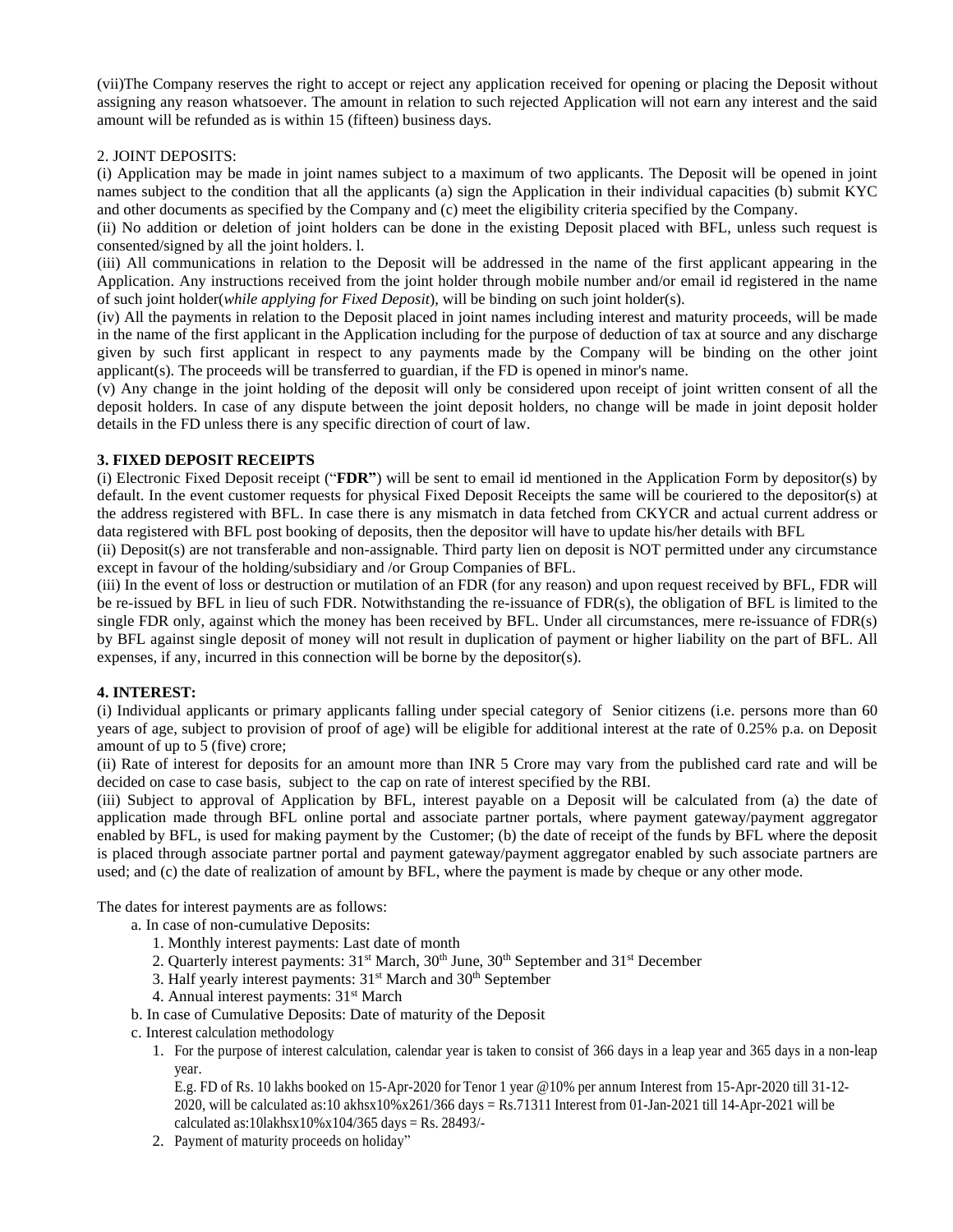(vii)The Company reserves the right to accept or reject any application received for opening or placing the Deposit without assigning any reason whatsoever. The amount in relation to such rejected Application will not earn any interest and the said amount will be refunded as is within 15 (fifteen) business days.

## 2. JOINT DEPOSITS:

(i) Application may be made in joint names subject to a maximum of two applicants. The Deposit will be opened in joint names subject to the condition that all the applicants (a) sign the Application in their individual capacities (b) submit KYC and other documents as specified by the Company and (c) meet the eligibility criteria specified by the Company.

(ii) No addition or deletion of joint holders can be done in the existing Deposit placed with BFL, unless such request is consented/signed by all the joint holders. l.

(iii) All communications in relation to the Deposit will be addressed in the name of the first applicant appearing in the Application. Any instructions received from the joint holder through mobile number and/or email id registered in the name of such joint holder(*while applying for Fixed Deposit*), will be binding on such joint holder(s).

(iv) All the payments in relation to the Deposit placed in joint names including interest and maturity proceeds, will be made in the name of the first applicant in the Application including for the purpose of deduction of tax at source and any discharge given by such first applicant in respect to any payments made by the Company will be binding on the other joint applicant(s). The proceeds will be transferred to guardian, if the FD is opened in minor's name.

(v) Any change in the joint holding of the deposit will only be considered upon receipt of joint written consent of all the deposit holders. In case of any dispute between the joint deposit holders, no change will be made in joint deposit holder details in the FD unless there is any specific direction of court of law.

### **3. FIXED DEPOSIT RECEIPTS**

(i) Electronic Fixed Deposit receipt ("**FDR"**) will be sent to email id mentioned in the Application Form by depositor(s) by default. In the event customer requests for physical Fixed Deposit Receipts the same will be couriered to the depositor(s) at the address registered with BFL. In case there is any mismatch in data fetched from CKYCR and actual current address or data registered with BFL post booking of deposits, then the depositor will have to update his/her details with BFL

(ii) Deposit(s) are not transferable and non-assignable. Third party lien on deposit is NOT permitted under any circumstance except in favour of the holding/subsidiary and /or Group Companies of BFL.

(iii) In the event of loss or destruction or mutilation of an FDR (for any reason) and upon request received by BFL, FDR will be re-issued by BFL in lieu of such FDR. Notwithstanding the re-issuance of FDR(s), the obligation of BFL is limited to the single FDR only, against which the money has been received by BFL. Under all circumstances, mere re-issuance of FDR(s) by BFL against single deposit of money will not result in duplication of payment or higher liability on the part of BFL. All expenses, if any, incurred in this connection will be borne by the depositor(s).

## **4. INTEREST:**

(i) Individual applicants or primary applicants falling under special category of Senior citizens (i.e. persons more than 60 years of age, subject to provision of proof of age) will be eligible for additional interest at the rate of 0.25% p.a. on Deposit amount of up to 5 (five) crore;

(ii) Rate of interest for deposits for an amount more than INR 5 Crore may vary from the published card rate and will be decided on case to case basis, subject to the cap on rate of interest specified by the RBI.

(iii) Subject to approval of Application by BFL, interest payable on a Deposit will be calculated from (a) the date of application made through BFL online portal and associate partner portals, where payment gateway/payment aggregator enabled by BFL, is used for making payment by the Customer; (b) the date of receipt of the funds by BFL where the deposit is placed through associate partner portal and payment gateway/payment aggregator enabled by such associate partners are used; and (c) the date of realization of amount by BFL, where the payment is made by cheque or any other mode.

The dates for interest payments are as follows:

a. In case of non-cumulative Deposits:

- 1. Monthly interest payments: Last date of month
- 2. Quarterly interest payments: 31<sup>st</sup> March, 30<sup>th</sup> June, 30<sup>th</sup> September and 31<sup>st</sup> December
- 3. Half yearly interest payments: 31<sup>st</sup> March and 30<sup>th</sup> September
- 4. Annual interest payments: 31<sup>st</sup> March
- b. In case of Cumulative Deposits: Date of maturity of the Deposit
- c. Interest calculation methodology
	- 1. For the purpose of interest calculation, calendar year is taken to consist of 366 days in a leap year and 365 days in a non-leap year.

E.g. FD of Rs. 10 lakhs booked on 15-Apr-2020 for Tenor 1 year @10% per annum Interest from 15-Apr-2020 till 31-12- 2020, will be calculated as:10 akhsx10%x261/366 days = Rs.71311 Interest from 01-Jan-2021 till 14-Apr-2021 will be calculated as:10lakhsx10%x104/365 days = Rs. 28493/-

2. Payment of maturity proceeds on holiday"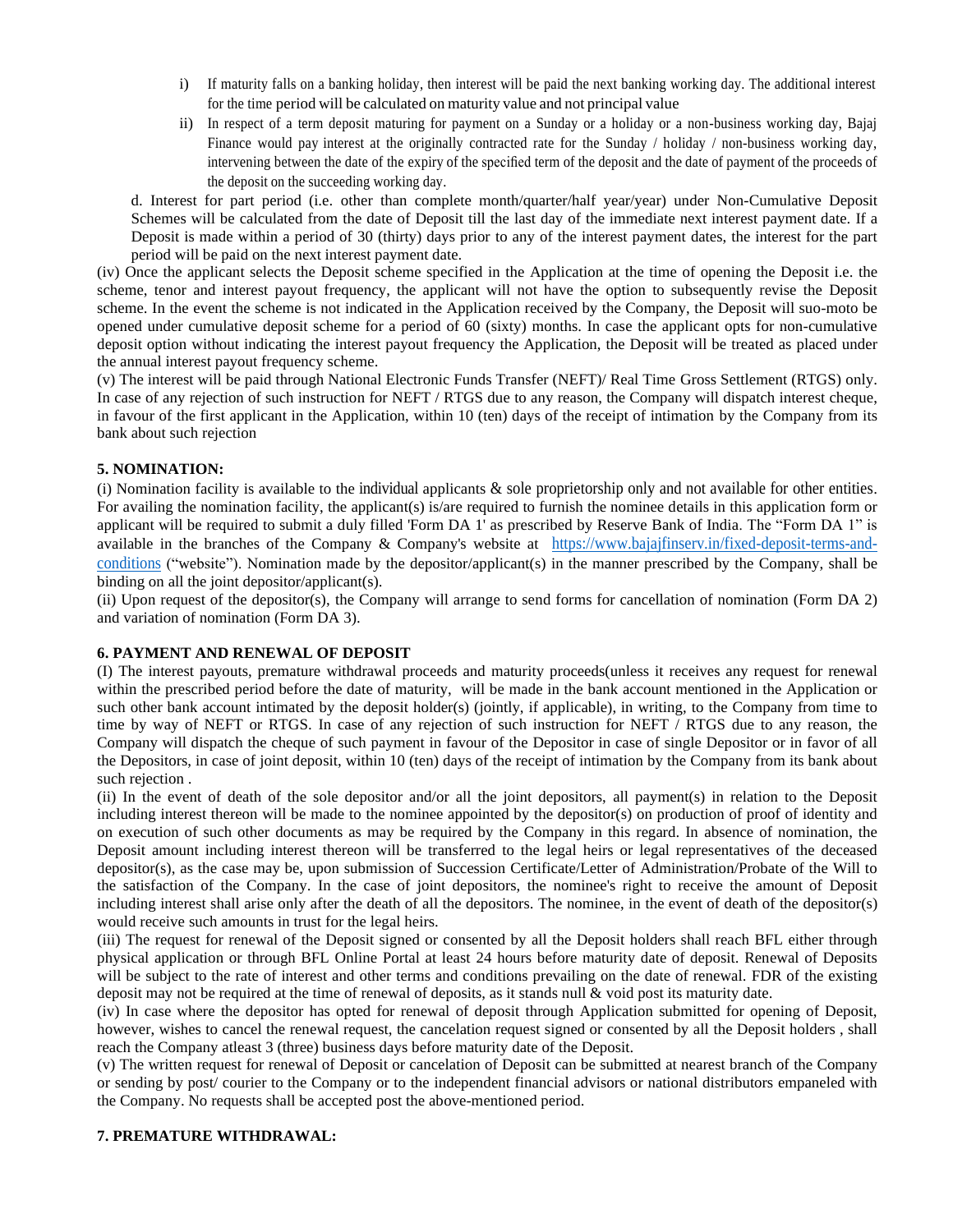- i) If maturity falls on a banking holiday, then interest will be paid the next banking working day. The additional interest for the time period will be calculated on maturity value and not principal value
- ii) In respect of a term deposit maturing for payment on a Sunday or a holiday or a non-business working day, Bajaj Finance would pay interest at the originally contracted rate for the Sunday / holiday / non-business working day, intervening between the date of the expiry of the specified term of the deposit and the date of payment of the proceeds of the deposit on the succeeding working day.

d. Interest for part period (i.e. other than complete month/quarter/half year/year) under Non-Cumulative Deposit Schemes will be calculated from the date of Deposit till the last day of the immediate next interest payment date. If a Deposit is made within a period of 30 (thirty) days prior to any of the interest payment dates, the interest for the part period will be paid on the next interest payment date.

(iv) Once the applicant selects the Deposit scheme specified in the Application at the time of opening the Deposit i.e. the scheme, tenor and interest payout frequency, the applicant will not have the option to subsequently revise the Deposit scheme. In the event the scheme is not indicated in the Application received by the Company, the Deposit will suo-moto be opened under cumulative deposit scheme for a period of 60 (sixty) months. In case the applicant opts for non-cumulative deposit option without indicating the interest payout frequency the Application, the Deposit will be treated as placed under the annual interest payout frequency scheme.

(v) The interest will be paid through National Electronic Funds Transfer (NEFT)/ Real Time Gross Settlement (RTGS) only. In case of any rejection of such instruction for NEFT / RTGS due to any reason, the Company will dispatch interest cheque, in favour of the first applicant in the Application, within 10 (ten) days of the receipt of intimation by the Company from its bank about such rejection

## **5. NOMINATION:**

(i) Nomination facility is available to the individual applicants & sole proprietorship only and not available for other entities. For availing the nomination facility, the applicant(s) is/are required to furnish the nominee details in this application form or applicant will be required to submit a duly filled 'Form DA 1' as prescribed by Reserve Bank of India. The "Form DA 1" is available in the branches of the Company & Company's website at [https://www.bajajfinserv.in/fixed-deposit-terms-and](https://www.bajajfinserv.in/fixed-deposit-terms-and-conditions)[conditions](https://www.bajajfinserv.in/fixed-deposit-terms-and-conditions) ("website"). Nomination made by the depositor/applicant(s) in the manner prescribed by the Company, shall be binding on all the joint depositor/applicant(s).

(ii) Upon request of the depositor(s), the Company will arrange to send forms for cancellation of nomination (Form DA 2) and variation of nomination (Form DA 3).

## **6. PAYMENT AND RENEWAL OF DEPOSIT**

(I) The interest payouts, premature withdrawal proceeds and maturity proceeds(unless it receives any request for renewal within the prescribed period before the date of maturity, will be made in the bank account mentioned in the Application or such other bank account intimated by the deposit holder(s) (jointly, if applicable), in writing, to the Company from time to time by way of NEFT or RTGS. In case of any rejection of such instruction for NEFT / RTGS due to any reason, the Company will dispatch the cheque of such payment in favour of the Depositor in case of single Depositor or in favor of all the Depositors, in case of joint deposit, within 10 (ten) days of the receipt of intimation by the Company from its bank about such rejection .

(ii) In the event of death of the sole depositor and/or all the joint depositors, all payment(s) in relation to the Deposit including interest thereon will be made to the nominee appointed by the depositor(s) on production of proof of identity and on execution of such other documents as may be required by the Company in this regard. In absence of nomination, the Deposit amount including interest thereon will be transferred to the legal heirs or legal representatives of the deceased depositor(s), as the case may be, upon submission of Succession Certificate/Letter of Administration/Probate of the Will to the satisfaction of the Company. In the case of joint depositors, the nominee's right to receive the amount of Deposit including interest shall arise only after the death of all the depositors. The nominee, in the event of death of the depositor(s) would receive such amounts in trust for the legal heirs.

(iii) The request for renewal of the Deposit signed or consented by all the Deposit holders shall reach BFL either through physical application or through BFL Online Portal at least 24 hours before maturity date of deposit. Renewal of Deposits will be subject to the rate of interest and other terms and conditions prevailing on the date of renewal. FDR of the existing deposit may not be required at the time of renewal of deposits, as it stands null & void post its maturity date.

(iv) In case where the depositor has opted for renewal of deposit through Application submitted for opening of Deposit, however, wishes to cancel the renewal request, the cancelation request signed or consented by all the Deposit holders , shall reach the Company atleast 3 (three) business days before maturity date of the Deposit.

(v) The written request for renewal of Deposit or cancelation of Deposit can be submitted at nearest branch of the Company or sending by post/ courier to the Company or to the independent financial advisors or national distributors empaneled with the Company. No requests shall be accepted post the above-mentioned period.

## **7. PREMATURE WITHDRAWAL:**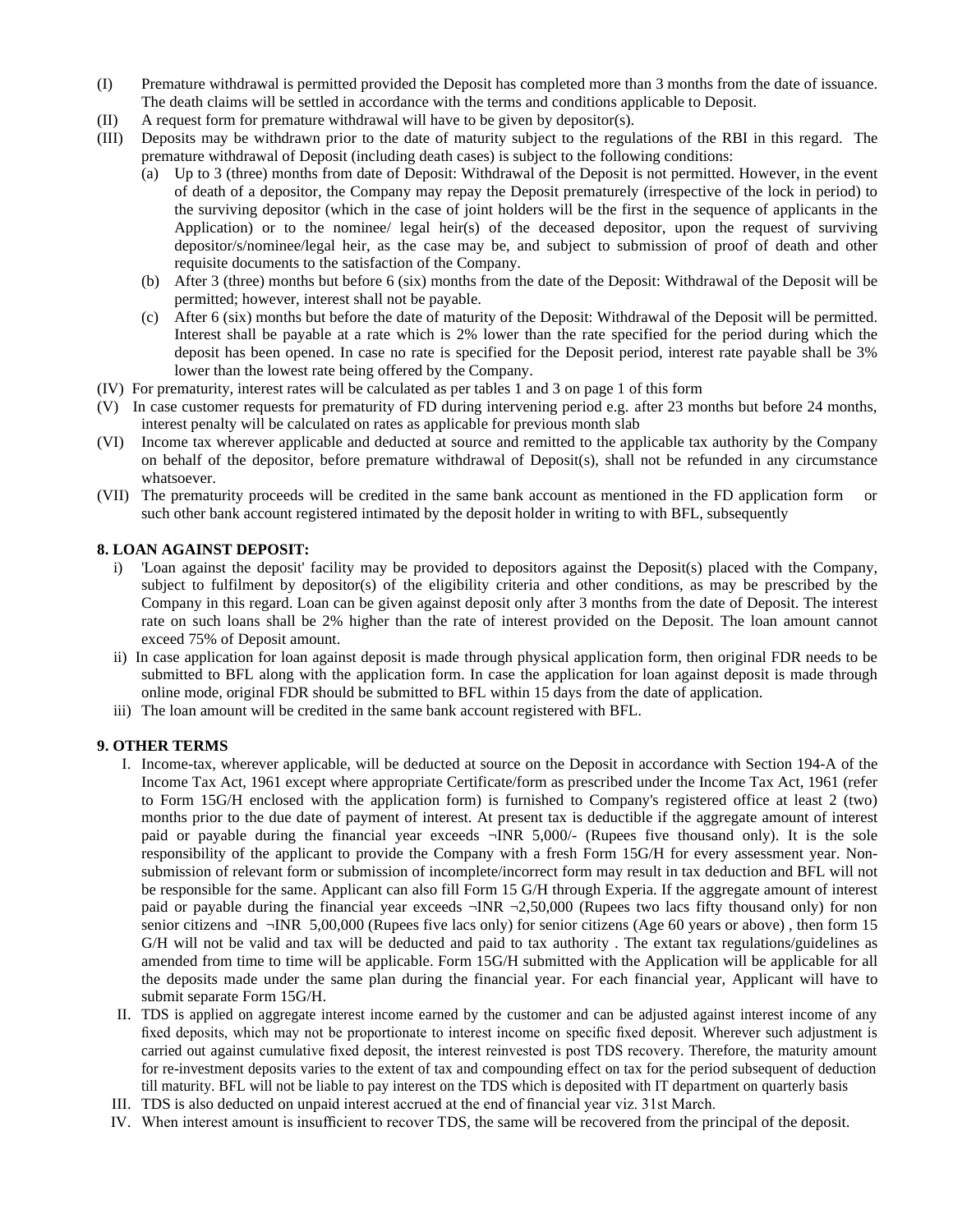- (I) Premature withdrawal is permitted provided the Deposit has completed more than 3 months from the date of issuance. The death claims will be settled in accordance with the terms and conditions applicable to Deposit.
- (II) A request form for premature withdrawal will have to be given by depositor(s).
- (III) Deposits may be withdrawn prior to the date of maturity subject to the regulations of the RBI in this regard. The premature withdrawal of Deposit (including death cases) is subject to the following conditions:
	- (a) Up to 3 (three) months from date of Deposit: Withdrawal of the Deposit is not permitted. However, in the event of death of a depositor, the Company may repay the Deposit prematurely (irrespective of the lock in period) to the surviving depositor (which in the case of joint holders will be the first in the sequence of applicants in the Application) or to the nominee/ legal heir(s) of the deceased depositor, upon the request of surviving depositor/s/nominee/legal heir, as the case may be, and subject to submission of proof of death and other requisite documents to the satisfaction of the Company.
	- (b) After 3 (three) months but before 6 (six) months from the date of the Deposit: Withdrawal of the Deposit will be permitted; however, interest shall not be payable.
	- (c) After 6 (six) months but before the date of maturity of the Deposit: Withdrawal of the Deposit will be permitted. Interest shall be payable at a rate which is 2% lower than the rate specified for the period during which the deposit has been opened. In case no rate is specified for the Deposit period, interest rate payable shall be 3% lower than the lowest rate being offered by the Company.
- (IV) For prematurity, interest rates will be calculated as per tables 1 and 3 on page 1 of this form
- (V) In case customer requests for prematurity of FD during intervening period e.g. after 23 months but before 24 months, interest penalty will be calculated on rates as applicable for previous month slab
- (VI) Income tax wherever applicable and deducted at source and remitted to the applicable tax authority by the Company on behalf of the depositor, before premature withdrawal of Deposit(s), shall not be refunded in any circumstance whatsoever.
- (VII) The prematurity proceeds will be credited in the same bank account as mentioned in the FD application form or such other bank account registered intimated by the deposit holder in writing to with BFL, subsequently

### **8. LOAN AGAINST DEPOSIT:**

- i) 'Loan against the deposit' facility may be provided to depositors against the Deposit(s) placed with the Company, subject to fulfilment by depositor(s) of the eligibility criteria and other conditions, as may be prescribed by the Company in this regard. Loan can be given against deposit only after 3 months from the date of Deposit. The interest rate on such loans shall be 2% higher than the rate of interest provided on the Deposit. The loan amount cannot exceed 75% of Deposit amount.
- ii) In case application for loan against deposit is made through physical application form, then original FDR needs to be submitted to BFL along with the application form. In case the application for loan against deposit is made through online mode, original FDR should be submitted to BFL within 15 days from the date of application.
- iii) The loan amount will be credited in the same bank account registered with BFL.

#### **9. OTHER TERMS**

- I. Income-tax, wherever applicable, will be deducted at source on the Deposit in accordance with Section 194-A of the Income Tax Act, 1961 except where appropriate Certificate/form as prescribed under the Income Tax Act, 1961 (refer to Form 15G/H enclosed with the application form) is furnished to Company's registered office at least 2 (two) months prior to the due date of payment of interest. At present tax is deductible if the aggregate amount of interest paid or payable during the financial year exceeds ¬INR 5,000/- (Rupees five thousand only). It is the sole responsibility of the applicant to provide the Company with a fresh Form 15G/H for every assessment year. Nonsubmission of relevant form or submission of incomplete/incorrect form may result in tax deduction and BFL will not be responsible for the same. Applicant can also fill Form 15 G/H through Experia. If the aggregate amount of interest paid or payable during the financial year exceeds  $\neg \text{INR } \neg 2,50,000$  (Rupees two lacs fifty thousand only) for non senior citizens and ¬INR 5,00,000 (Rupees five lacs only) for senior citizens (Age 60 years or above) , then form 15 G/H will not be valid and tax will be deducted and paid to tax authority . The extant tax regulations/guidelines as amended from time to time will be applicable. Form 15G/H submitted with the Application will be applicable for all the deposits made under the same plan during the financial year. For each financial year, Applicant will have to submit separate Form 15G/H.
- II. TDS is applied on aggregate interest income earned by the customer and can be adjusted against interest income of any fixed deposits, which may not be proportionate to interest income on specific fixed deposit. Wherever such adjustment is carried out against cumulative fixed deposit, the interest reinvested is post TDS recovery. Therefore, the maturity amount for re-investment deposits varies to the extent of tax and compounding effect on tax for the period subsequent of deduction till maturity. BFL will not be liable to pay interest on the TDS which is deposited with IT department on quarterly basis
- III. TDS is also deducted on unpaid interest accrued at the end of financial year viz. 31st March.
- IV. When interest amount is insufficient to recover TDS, the same will be recovered from the principal of the deposit.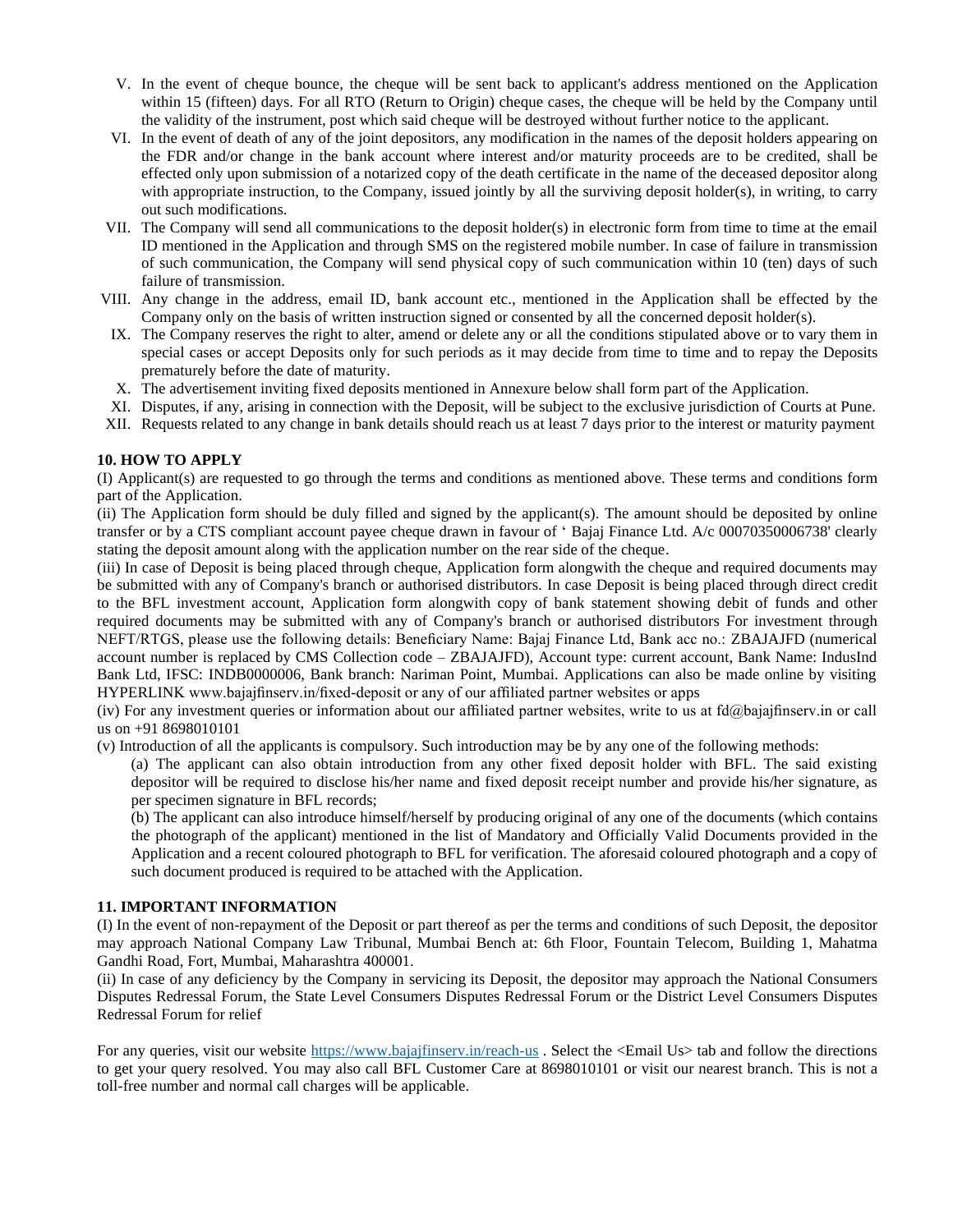- V. In the event of cheque bounce, the cheque will be sent back to applicant's address mentioned on the Application within 15 (fifteen) days. For all RTO (Return to Origin) cheque cases, the cheque will be held by the Company until the validity of the instrument, post which said cheque will be destroyed without further notice to the applicant.
- VI. In the event of death of any of the joint depositors, any modification in the names of the deposit holders appearing on the FDR and/or change in the bank account where interest and/or maturity proceeds are to be credited, shall be effected only upon submission of a notarized copy of the death certificate in the name of the deceased depositor along with appropriate instruction, to the Company, issued jointly by all the surviving deposit holder(s), in writing, to carry out such modifications.
- VII. The Company will send all communications to the deposit holder(s) in electronic form from time to time at the email ID mentioned in the Application and through SMS on the registered mobile number. In case of failure in transmission of such communication, the Company will send physical copy of such communication within 10 (ten) days of such failure of transmission.
- VIII. Any change in the address, email ID, bank account etc., mentioned in the Application shall be effected by the Company only on the basis of written instruction signed or consented by all the concerned deposit holder(s).
- IX. The Company reserves the right to alter, amend or delete any or all the conditions stipulated above or to vary them in special cases or accept Deposits only for such periods as it may decide from time to time and to repay the Deposits prematurely before the date of maturity.
- X. The advertisement inviting fixed deposits mentioned in Annexure below shall form part of the Application.
- XI. Disputes, if any, arising in connection with the Deposit, will be subject to the exclusive jurisdiction of Courts at Pune.
- XII. Requests related to any change in bank details should reach us at least 7 days prior to the interest or maturity payment

### **10. HOW TO APPLY**

(I) Applicant(s) are requested to go through the terms and conditions as mentioned above. These terms and conditions form part of the Application.

(ii) The Application form should be duly filled and signed by the applicant(s). The amount should be deposited by online transfer or by a CTS compliant account payee cheque drawn in favour of ' Bajaj Finance Ltd. A/c 00070350006738' clearly stating the deposit amount along with the application number on the rear side of the cheque.

(iii) In case of Deposit is being placed through cheque, Application form alongwith the cheque and required documents may be submitted with any of Company's branch or authorised distributors. In case Deposit is being placed through direct credit to the BFL investment account, Application form alongwith copy of bank statement showing debit of funds and other required documents may be submitted with any of Company's branch or authorised distributors For investment through NEFT/RTGS, please use the following details: Beneficiary Name: Bajaj Finance Ltd, Bank acc no.: ZBAJAJFD (numerical account number is replaced by CMS Collection code – ZBAJAJFD), Account type: current account, Bank Name: IndusInd Bank Ltd, IFSC: INDB0000006, Bank branch: Nariman Point, Mumbai. Applications can also be made online by visiting HYPERLINK www.bajajfinserv.in/fixed-deposit or any of our affiliated partner websites or apps

(iv) For any investment queries or information about our affiliated partner websites, write to us at fd@bajajfinserv.in or call us on +91 8698010101

(v) Introduction of all the applicants is compulsory. Such introduction may be by any one of the following methods:

(a) The applicant can also obtain introduction from any other fixed deposit holder with BFL. The said existing depositor will be required to disclose his/her name and fixed deposit receipt number and provide his/her signature, as per specimen signature in BFL records;

(b) The applicant can also introduce himself/herself by producing original of any one of the documents (which contains the photograph of the applicant) mentioned in the list of Mandatory and Officially Valid Documents provided in the Application and a recent coloured photograph to BFL for verification. The aforesaid coloured photograph and a copy of such document produced is required to be attached with the Application.

#### **11. IMPORTANT INFORMATION**

(I) In the event of non-repayment of the Deposit or part thereof as per the terms and conditions of such Deposit, the depositor may approach National Company Law Tribunal, Mumbai Bench at: 6th Floor, Fountain Telecom, Building 1, Mahatma Gandhi Road, Fort, Mumbai, Maharashtra 400001.

(ii) In case of any deficiency by the Company in servicing its Deposit, the depositor may approach the National Consumers Disputes Redressal Forum, the State Level Consumers Disputes Redressal Forum or the District Level Consumers Disputes Redressal Forum for relief

For any queries, visit our website<https://www.bajajfinserv.in/reach-us> . Select the <Email Us> tab and follow the directions to get your query resolved. You may also call BFL Customer Care at 8698010101 or visit our nearest branch. This is not a toll-free number and normal call charges will be applicable.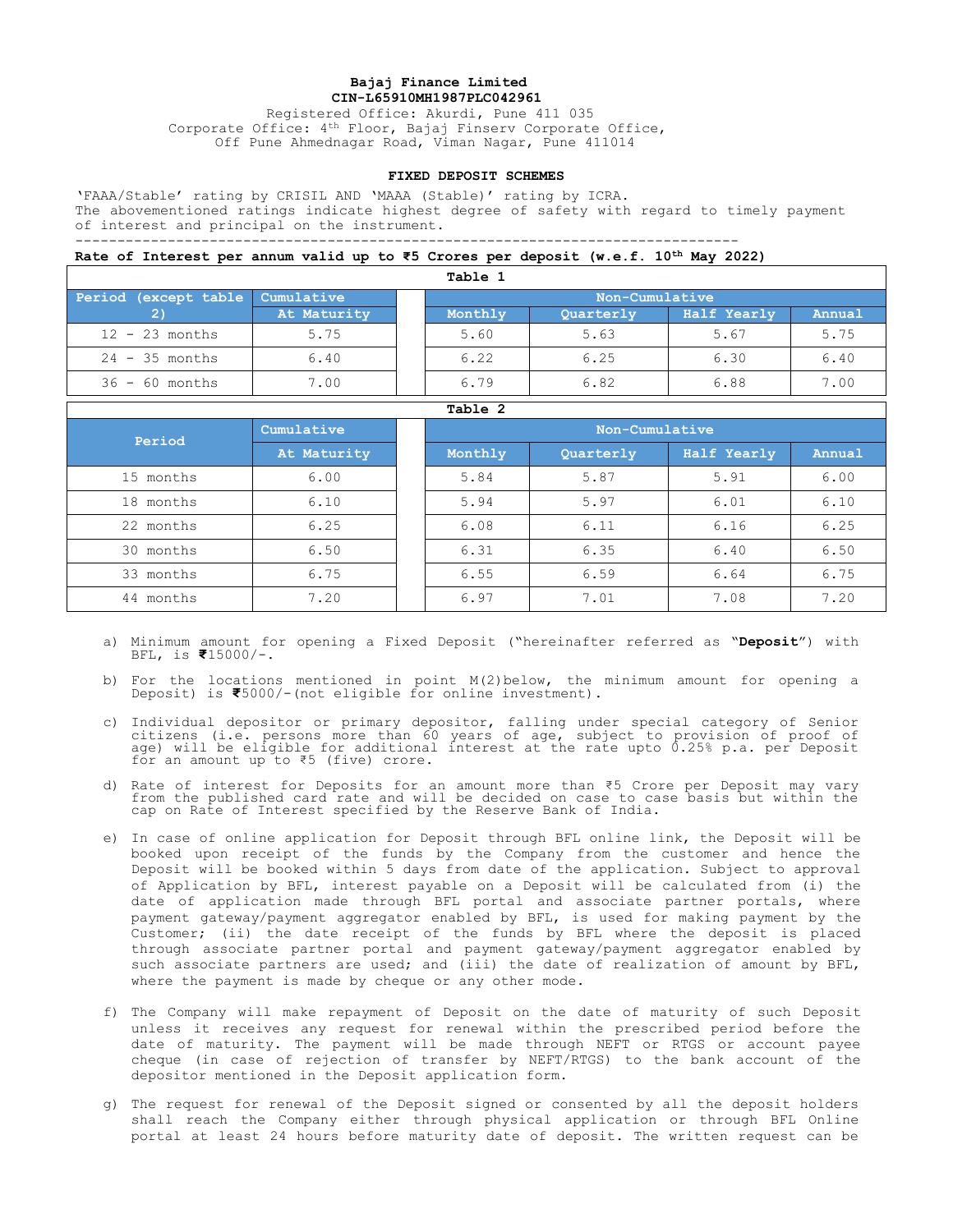#### **Bajaj Finance Limited CIN-L65910MH1987PLC042961**

Registered Office: Akurdi, Pune 411 035 Corporate Office: 4th Floor, Bajaj Finserv Corporate Office, Off Pune Ahmednagar Road, Viman Nagar, Pune 411014

#### **FIXED DEPOSIT SCHEMES**

'FAAA/Stable' rating by CRISIL AND 'MAAA (Stable)' rating by ICRA. The abovementioned ratings indicate highest degree of safety with regard to timely payment of interest and principal on the instrument. -------------------------------------------------------------------------------

## **Rate of Interest per annum valid up to ₹5 Crores per deposit (w.e.f. 10th May 2022)**

| Table 1                         |             |  |                |           |             |        |  |  |
|---------------------------------|-------------|--|----------------|-----------|-------------|--------|--|--|
| Period (except table Cumulative |             |  | Non-Cumulative |           |             |        |  |  |
|                                 | At Maturity |  | Monthly        | Quarterly | Half Yearly | Annual |  |  |
| $12 - 23$ months                | 5.75        |  | 5.60           | 5.63      | 5.67        | 5.75   |  |  |
| $24 - 35$ months                | 6.40        |  | 6.22           | 6.25      | 6.30        | 6.40   |  |  |
| $36 - 60$ months                | 7.00        |  | 6.79           | 6.82      | 6.88        | 7.00   |  |  |

| Table 2   |             |  |         |           |                |        |  |  |
|-----------|-------------|--|---------|-----------|----------------|--------|--|--|
| Period    | Cumulative  |  |         |           | Non-Cumulative |        |  |  |
|           | At Maturity |  | Monthly | Quarterly | Half Yearly    | Annual |  |  |
| 15 months | 6.00        |  | 5.84    | 5.87      | 5.91           | 6.00   |  |  |
| 18 months | 6.10        |  | 5.94    | 5.97      | 6.01           | 6.10   |  |  |
| 22 months | 6.25        |  | 6.08    | 6.11      | 6.16           | 6.25   |  |  |
| 30 months | 6.50        |  | 6.31    | 6.35      | 6.40           | 6.50   |  |  |
| 33 months | 6.75        |  | 6.55    | 6.59      | 6.64           | 6.75   |  |  |
| 44 months | 7.20        |  | 6.97    | 7.01      | 7.08           | 7.20   |  |  |

- a) Minimum amount for opening a Fixed Deposit ("hereinafter referred as "**Deposit**") with BFL, is **₹**15000/-.
- b) For the locations mentioned in point M(2)below, the minimum amount for opening a Deposit) is **₹**5000/-(not eligible for online investment).
- c) Individual depositor or primary depositor, falling under special category of Senior citizens (i.e. persons more than 60 years of age, subject to provision of proof of age) will be eligible for additional interest at the rate upto 0.25% p.a. per Deposit for an amount up to ₹5 (five) crore.
- d) Rate of interest for Deposits for an amount more than ₹5 Crore per Deposit may vary from the published card rate and will be decided on case to case basis but within the cap on Rate of Interest specified by the Reserve Bank of India.
- e) In case of online application for Deposit through BFL online link, the Deposit will be booked upon receipt of the funds by the Company from the customer and hence the Deposit will be booked within 5 days from date of the application. Subject to approval of Application by BFL, interest payable on a Deposit will be calculated from (i) the date of application made through BFL portal and associate partner portals, where payment gateway/payment aggregator enabled by BFL, is used for making payment by the Customer; (ii) the date receipt of the funds by BFL where the deposit is placed through associate partner portal and payment gateway/payment aggregator enabled by such associate partners are used; and (iii) the date of realization of amount by BFL, where the payment is made by cheque or any other mode.
- f) The Company will make repayment of Deposit on the date of maturity of such Deposit unless it receives any request for renewal within the prescribed period before the date of maturity. The payment will be made through NEFT or RTGS or account payee cheque (in case of rejection of transfer by NEFT/RTGS) to the bank account of the depositor mentioned in the Deposit application form.
- g) The request for renewal of the Deposit signed or consented by all the deposit holders shall reach the Company either through physical application or through BFL Online portal at least 24 hours before maturity date of deposit. The written request can be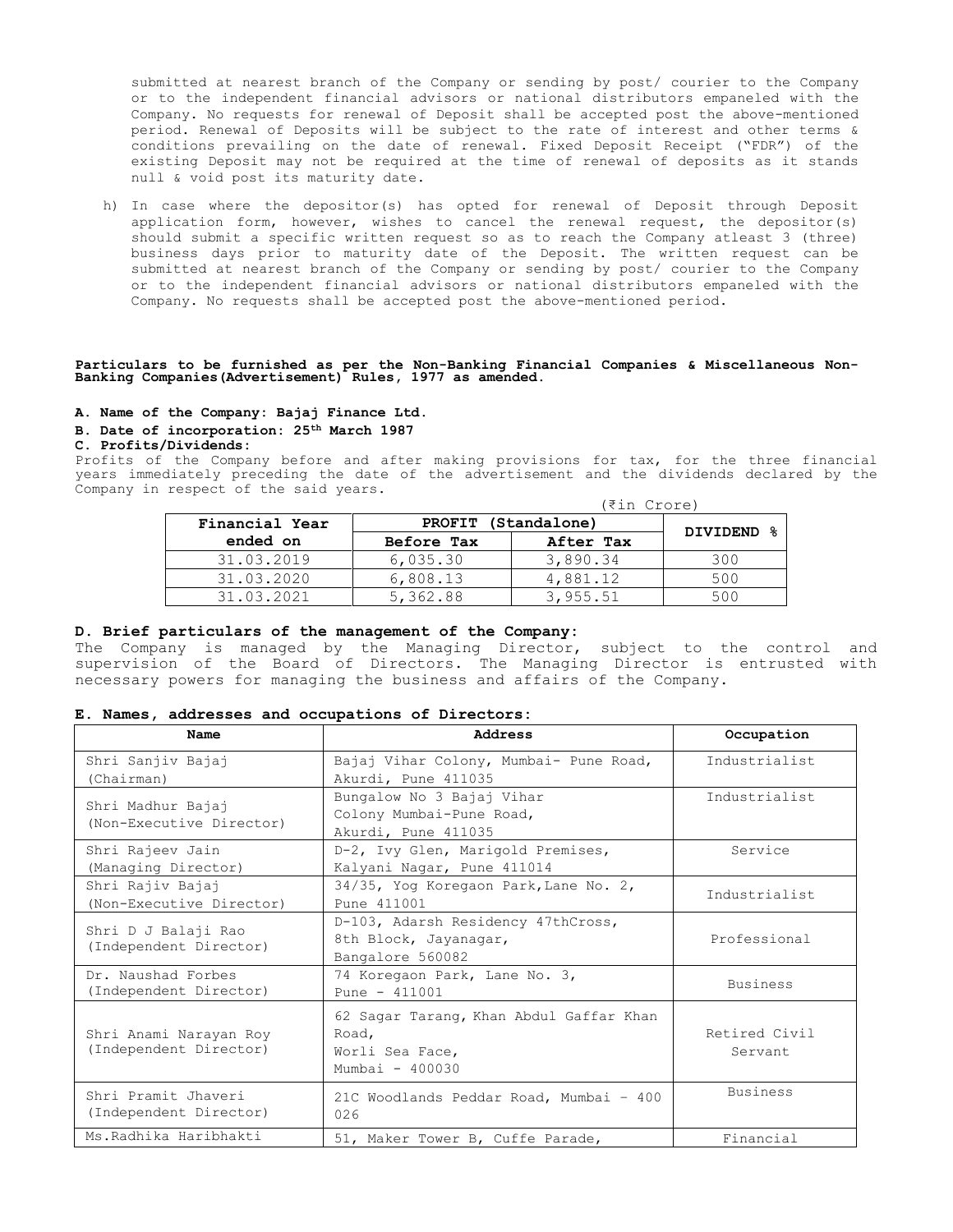submitted at nearest branch of the Company or sending by post/ courier to the Company or to the independent financial advisors or national distributors empaneled with the Company. No requests for renewal of Deposit shall be accepted post the above-mentioned period. Renewal of Deposits will be subject to the rate of interest and other terms & conditions prevailing on the date of renewal. Fixed Deposit Receipt ("FDR") of the existing Deposit may not be required at the time of renewal of deposits as it stands null & void post its maturity date.

h) In case where the depositor(s) has opted for renewal of Deposit through Deposit application form, however, wishes to cancel the renewal request, the depositor(s) should submit a specific written request so as to reach the Company atleast 3 (three) business days prior to maturity date of the Deposit. The written request can be submitted at nearest branch of the Company or sending by post/ courier to the Company or to the independent financial advisors or national distributors empaneled with the Company. No requests shall be accepted post the above-mentioned period.

# **Particulars to be furnished as per the Non-Banking Financial Companies & Miscellaneous Non-Banking Companies(Advertisement) Rules, 1977 as amended.**

#### **A. Name of the Company: Bajaj Finance Ltd.**

#### **B. Date of incorporation: 25th March 1987**

#### **C. Profits/Dividends:**

Profits of the Company before and after making provisions for tax, for the three financial years immediately preceding the date of the advertisement and the dividends declared by the Company in respect of the said years.

| Crore) |  |  | マ1m |  |
|--------|--|--|-----|--|
|--------|--|--|-----|--|

| Financial Year | PROFIT (Standalone) | DIVIDEND % |     |
|----------------|---------------------|------------|-----|
| ended on       | Before Tax          | After Tax  |     |
| 31.03.2019     | 6,035.30            | 3,890.34   | 300 |
| 31.03.2020     | 6,808.13            | 4,881.12   | 500 |
| 31.03.2021     | 5,362.88            | 3,955.51   | 500 |

#### **D. Brief particulars of the management of the Company:**

The Company is managed by the Managing Director, subject to the control and supervision of the Board of Directors. The Managing Director is entrusted with necessary powers for managing the business and affairs of the Company.

#### **E. Names, addresses and occupations of Directors:**

| Name                                             | Address                                                                                  | Occupation                |
|--------------------------------------------------|------------------------------------------------------------------------------------------|---------------------------|
| Shri Sanjiv Bajaj<br>(Chairman)                  | Bajaj Vihar Colony, Mumbai- Pune Road,<br>Akurdi, Pune 411035                            | Industrialist             |
| Shri Madhur Bajaj<br>(Non-Executive Director)    | Bungalow No 3 Bajaj Vihar<br>Colony Mumbai-Pune Road,<br>Akurdi, Pune 411035             | Industrialist             |
| Shri Rajeev Jain<br>(Managing Director)          | D-2, Ivy Glen, Marigold Premises,<br>Kalyani Nagar, Pune 411014                          | Service                   |
| Shri Rajiv Bajaj<br>(Non-Executive Director)     | 34/35, Yog Koregaon Park, Lane No. 2,<br>Pune 411001                                     | Industrialist             |
| Shri D J Balaji Rao<br>(Independent Director)    | D-103, Adarsh Residency 47thCross,<br>8th Block, Jayanagar,<br>Bangalore 560082          | Professional              |
| Dr. Naushad Forbes<br>(Independent Director)     | 74 Koregaon Park, Lane No. 3,<br>Pune $-411001$                                          | <b>Business</b>           |
| Shri Anami Narayan Roy<br>(Independent Director) | 62 Sagar Tarang, Khan Abdul Gaffar Khan<br>Road,<br>Worli Sea Face,<br>Mumbai - $400030$ | Retired Civil<br>Servant. |
| Shri Pramit Jhaveri<br>(Independent Director)    | 21C Woodlands Peddar Road, Mumbai - 400<br>026                                           | <b>Business</b>           |
| Ms. Radhika Haribhakti                           | 51, Maker Tower B, Cuffe Parade,                                                         | Financial                 |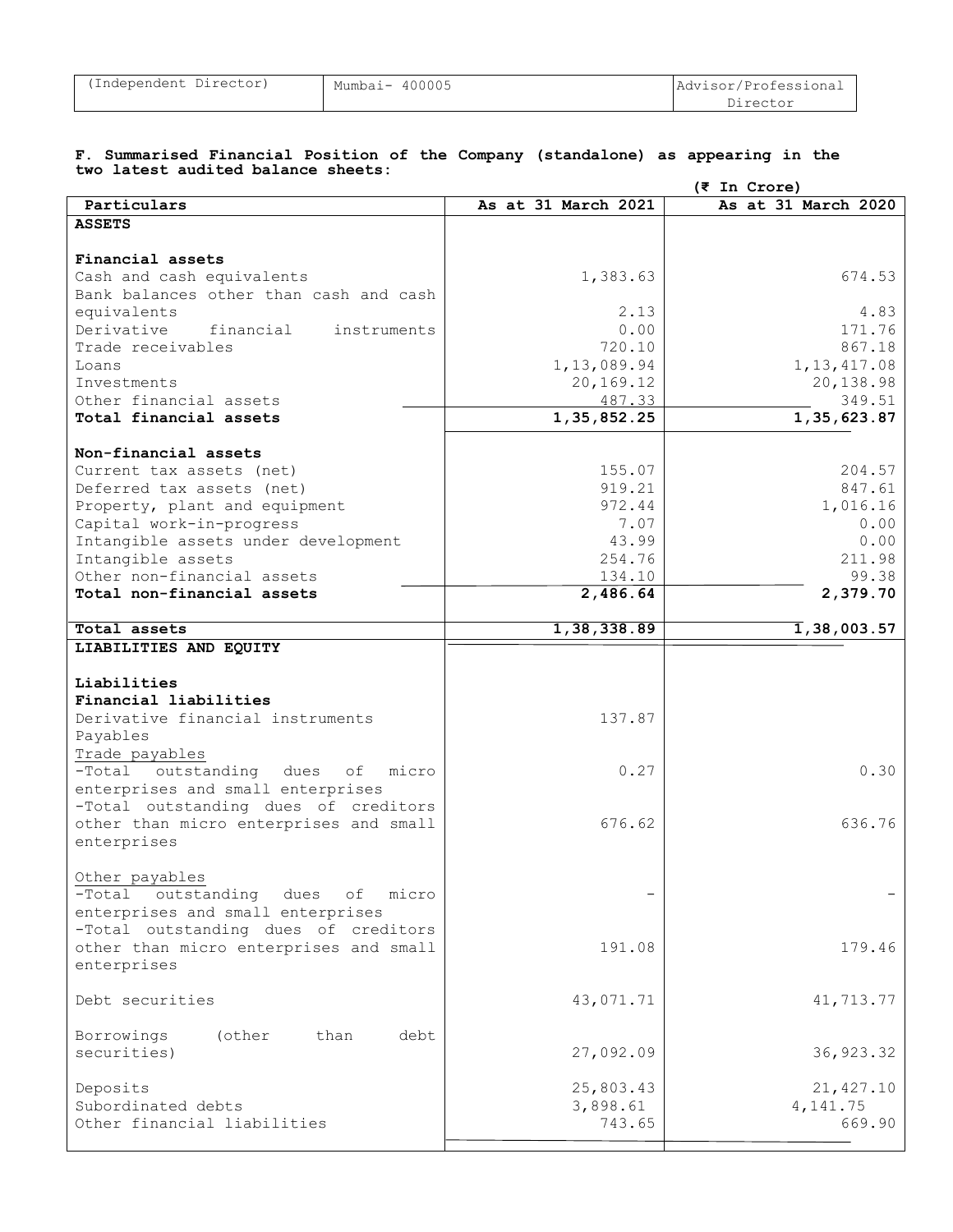#### **F. Summarised Financial Position of the Company (standalone) as appearing in the two latest audited balance sheets:**

|                                           |                     | $(5$ In Crore)                       |
|-------------------------------------------|---------------------|--------------------------------------|
| Particulars                               | As at 31 March 2021 | As at 31 March 2020                  |
| <b>ASSETS</b>                             |                     |                                      |
|                                           |                     |                                      |
| Financial assets                          |                     |                                      |
| Cash and cash equivalents                 | 1,383.63            | 674.53                               |
| Bank balances other than cash and cash    |                     |                                      |
| equivalents                               | 2.13                | 4.83                                 |
| Derivative<br>financial<br>instruments    | 0.00                | 171.76                               |
| Trade receivables                         | 720.10              | 867.18                               |
| Loans                                     | 1, 13, 089.94       | 1, 13, 417.08                        |
| Investments                               | 20,169.12           | 20,138.98                            |
| Other financial assets                    | 487.33              | 349.51                               |
| Total financial assets                    | 1, 35, 852.25       | 1, 35, 623.87                        |
|                                           |                     |                                      |
| Non-financial assets                      |                     |                                      |
| Current tax assets (net)                  | 155.07              | 204.57                               |
|                                           | 919.21              | 847.61                               |
| Deferred tax assets (net)                 |                     |                                      |
| Property, plant and equipment             | 972.44              | 1,016.16                             |
| Capital work-in-progress                  | 7.07                | 0.00                                 |
| Intangible assets under development       | 43.99               | 0.00                                 |
| Intangible assets                         | 254.76              | 211.98                               |
| Other non-financial assets                | 134.10              | 99.38                                |
| Total non-financial assets                | 2,486.64            | 2,379.70                             |
|                                           |                     |                                      |
| Total assets                              | 1,38,338.89         | $\overline{\mathbf{1}}$ , 38, 003.57 |
| LIABILITIES AND EQUITY                    |                     |                                      |
|                                           |                     |                                      |
| Liabilities                               |                     |                                      |
| Financial liabilities                     |                     |                                      |
| Derivative financial instruments          | 137.87              |                                      |
| Payables                                  |                     |                                      |
| Trade payables                            |                     |                                      |
| outstanding dues<br>micro<br>-Total<br>οf | 0.27                | 0.30                                 |
| enterprises and small enterprises         |                     |                                      |
| -Total outstanding dues of creditors      |                     |                                      |
| other than micro enterprises and small    | 676.62              | 636.76                               |
| enterprises                               |                     |                                      |
|                                           |                     |                                      |
| Other payables                            |                     |                                      |
| -Total outstanding<br>dues<br>micro<br>оf |                     |                                      |
| enterprises and small enterprises         |                     |                                      |
| -Total outstanding dues of creditors      |                     |                                      |
| other than micro enterprises and small    | 191.08              | 179.46                               |
| enterprises                               |                     |                                      |
|                                           |                     |                                      |
| Debt securities                           | 43,071.71           | 41,713.77                            |
|                                           |                     |                                      |
| (other                                    |                     |                                      |
| Borrowings<br>than<br>debt                |                     |                                      |
| securities)                               | 27,092.09           | 36, 923.32                           |
|                                           |                     |                                      |
| Deposits                                  | 25,803.43           | 21, 427.10                           |
| Subordinated debts                        | 3,898.61            | 4, 141.75                            |
| Other financial liabilities               | 743.65              | 669.90                               |
|                                           |                     |                                      |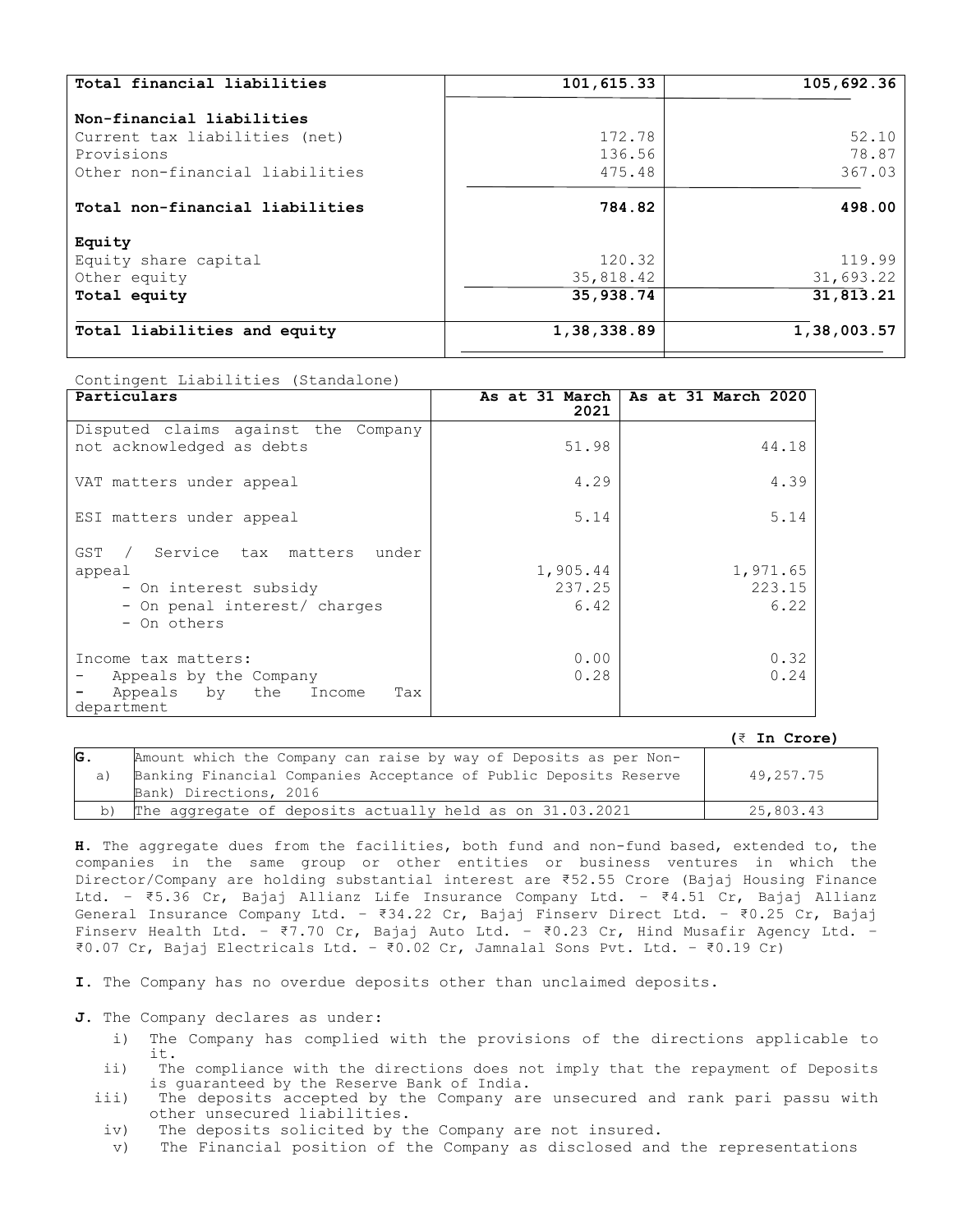| 101,615.33  | 105,692.36  |
|-------------|-------------|
|             |             |
| 172.78      | 52.10       |
| 136.56      | 78.87       |
| 475.48      | 367.03      |
| 784.82      | 498.00      |
|             |             |
| 120.32      | 119.99      |
| 35,818.42   | 31,693.22   |
| 35,938.74   | 31,813.21   |
| 1,38,338.89 | 1,38,003.57 |
|             |             |

Contingent Liabilities (Standalone)

| Particulars                                                                                                                         | As at 31 March<br>2021     | As at 31 March 2020        |
|-------------------------------------------------------------------------------------------------------------------------------------|----------------------------|----------------------------|
| Disputed claims against the Company<br>not acknowledged as debts                                                                    | 51.98                      | 44.18                      |
| VAT matters under appeal                                                                                                            | 4.29                       | 4.39                       |
| ESI matters under appeal                                                                                                            | 5.14                       | 5.14                       |
| Service tax matters<br>GST<br>under<br>$\sqrt{2}$<br>appeal<br>- On interest subsidy<br>- On penal interest/ charges<br>- On others | 1,905.44<br>237.25<br>6.42 | 1,971.65<br>223.15<br>6.22 |
| Income tax matters:<br>Appeals by the Company<br>Appeals by<br>the<br>Income<br>Tax<br>department                                   | 0.00<br>0.28               | 0.32<br>0.24               |

#### **(**₹ **In Crore)**

|    |                                                                   | ---- ------ |
|----|-------------------------------------------------------------------|-------------|
| G. | Amount which the Company can raise by way of Deposits as per Non- |             |
| a  | Banking Financial Companies Acceptance of Public Deposits Reserve | 49,257.75   |
|    | Bank) Directions, 2016                                            |             |
| b) | The aggregate of deposits actually held as on 31.03.2021          | 25,803.43   |

**H**. The aggregate dues from the facilities, both fund and non-fund based, extended to, the companies in the same group or other entities or business ventures in which the Director/Company are holding substantial interest are ₹52.55 Crore (Bajaj Housing Finance Ltd. – ₹5.36 Cr, Bajaj Allianz Life Insurance Company Ltd. – ₹4.51 Cr, Bajaj Allianz General Insurance Company Ltd. – ₹34.22 Cr, Bajaj Finserv Direct Ltd. – ₹0.25 Cr, Bajaj Finserv Health Ltd. - ₹7.70 Cr, Bajaj Auto Ltd. - ₹0.23 Cr, Hind Musafir Agency Ltd. -₹0.07 Cr, Bajaj Electricals Ltd. – ₹0.02 Cr, Jamnalal Sons Pvt. Ltd. – ₹0.19 Cr)

**I**. The Company has no overdue deposits other than unclaimed deposits.

**J**. The Company declares as under:

- i) The Company has complied with the provisions of the directions applicable to it.
- ii) The compliance with the directions does not imply that the repayment of Deposits is guaranteed by the Reserve Bank of India.
- iii) The deposits accepted by the Company are unsecured and rank pari passu with other unsecured liabilities.
- iv) The deposits solicited by the Company are not insured.
- v) The Financial position of the Company as disclosed and the representations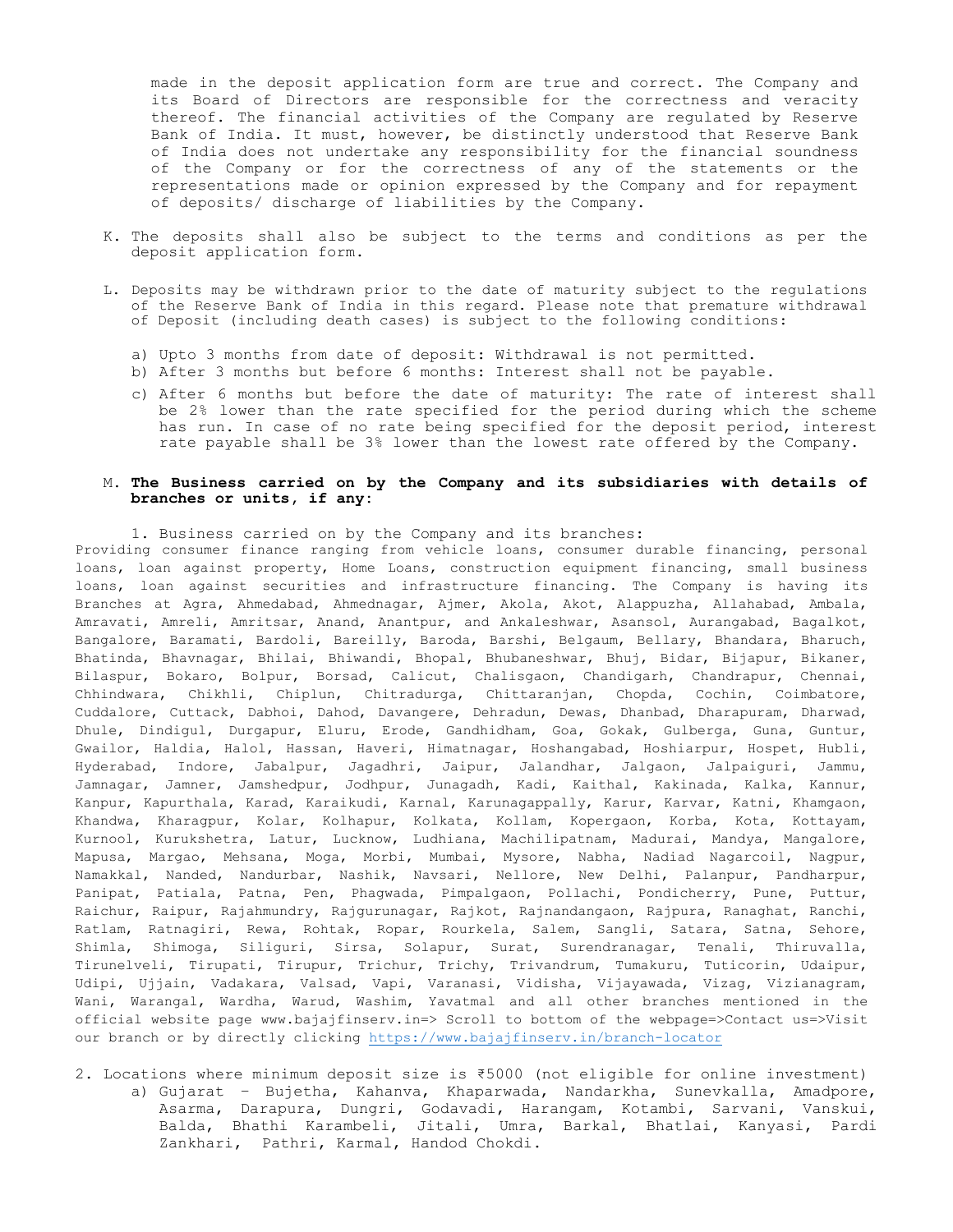made in the deposit application form are true and correct. The Company and its Board of Directors are responsible for the correctness and veracity thereof. The financial activities of the Company are regulated by Reserve Bank of India. It must, however, be distinctly understood that Reserve Bank of India does not undertake any responsibility for the financial soundness of the Company or for the correctness of any of the statements or the representations made or opinion expressed by the Company and for repayment of deposits/ discharge of liabilities by the Company.

- K. The deposits shall also be subject to the terms and conditions as per the deposit application form.
- L. Deposits may be withdrawn prior to the date of maturity subject to the regulations of the Reserve Bank of India in this regard. Please note that premature withdrawal of Deposit (including death cases) is subject to the following conditions:
	- a) Upto 3 months from date of deposit: Withdrawal is not permitted.
	- b) After 3 months but before 6 months: Interest shall not be payable.
	- c) After 6 months but before the date of maturity: The rate of interest shall be 2% lower than the rate specified for the period during which the scheme has run. In case of no rate being specified for the deposit period, interest rate payable shall be 3% lower than the lowest rate offered by the Company.

#### M. **The Business carried on by the Company and its subsidiaries with details of branches or units, if any:**

1. Business carried on by the Company and its branches:

Providing consumer finance ranging from vehicle loans, consumer durable financing, personal loans, loan against property, Home Loans, construction equipment financing, small business loans, loan against securities and infrastructure financing. The Company is having its Branches at Agra, Ahmedabad, Ahmednagar, Ajmer, Akola, Akot, Alappuzha, Allahabad, Ambala, Amravati, Amreli, Amritsar, Anand, Anantpur, and Ankaleshwar, Asansol, Aurangabad, Bagalkot, Bangalore, Baramati, Bardoli, Bareilly, Baroda, Barshi, Belgaum, Bellary, Bhandara, Bharuch, Bhatinda, Bhavnagar, Bhilai, Bhiwandi, Bhopal, Bhubaneshwar, Bhuj, Bidar, Bijapur, Bikaner, Bilaspur, Bokaro, Bolpur, Borsad, Calicut, Chalisgaon, Chandigarh, Chandrapur, Chennai, Chhindwara, Chikhli, Chiplun, Chitradurga, Chittaranjan, Chopda, Cochin, Coimbatore, Cuddalore, Cuttack, Dabhoi, Dahod, Davangere, Dehradun, Dewas, Dhanbad, Dharapuram, Dharwad, Dhule, Dindigul, Durgapur, Eluru, Erode, Gandhidham, Goa, Gokak, Gulberga, Guna, Guntur, Gwailor, Haldia, Halol, Hassan, Haveri, Himatnagar, Hoshangabad, Hoshiarpur, Hospet, Hubli, Hyderabad, Indore, Jabalpur, Jagadhri, Jaipur, Jalandhar, Jalgaon, Jalpaiguri, Jammu, Jamnagar, Jamner, Jamshedpur, Jodhpur, Junagadh, Kadi, Kaithal, Kakinada, Kalka, Kannur, Kanpur, Kapurthala, Karad, Karaikudi, Karnal, Karunagappally, Karur, Karvar, Katni, Khamgaon, Khandwa, Kharagpur, Kolar, Kolhapur, Kolkata, Kollam, Kopergaon, Korba, Kota, Kottayam, Kurnool, Kurukshetra, Latur, Lucknow, Ludhiana, Machilipatnam, Madurai, Mandya, Mangalore, Mapusa, Margao, Mehsana, Moga, Morbi, Mumbai, Mysore, Nabha, Nadiad Nagarcoil, Nagpur, Namakkal, Nanded, Nandurbar, Nashik, Navsari, Nellore, New Delhi, Palanpur, Pandharpur, Panipat, Patiala, Patna, Pen, Phagwada, Pimpalgaon, Pollachi, Pondicherry, Pune, Puttur, Raichur, Raipur, Rajahmundry, Rajgurunagar, Rajkot, Rajnandangaon, Rajpura, Ranaghat, Ranchi, Ratlam, Ratnagiri, Rewa, Rohtak, Ropar, Rourkela, Salem, Sangli, Satara, Satna, Sehore, Shimla, Shimoga, Siliguri, Sirsa, Solapur, Surat, Surendranagar, Tenali, Thiruvalla, Tirunelveli, Tirupati, Tirupur, Trichur, Trichy, Trivandrum, Tumakuru, Tuticorin, Udaipur, Udipi, Ujjain, Vadakara, Valsad, Vapi, Varanasi, Vidisha, Vijayawada, Vizag, Vizianagram, Wani, Warangal, Wardha, Warud, Washim, Yavatmal and all other branches mentioned in the official website page www.bajajfinserv.in=> Scroll to bottom of the webpage=>Contact us=>Visit our branch or by directly clicking<https://www.bajajfinserv.in/branch-locator>

2. Locations where minimum deposit size is ₹5000 (not eligible for online investment) a) Gujarat – Bujetha, Kahanva, Khaparwada, Nandarkha, Sunevkalla, Amadpore, Asarma, Darapura, Dungri, Godavadi, Harangam, Kotambi, Sarvani, Vanskui, Balda, Bhathi Karambeli, Jitali, Umra, Barkal, Bhatlai, Kanyasi, Pardi Zankhari, Pathri, Karmal, Handod Chokdi.